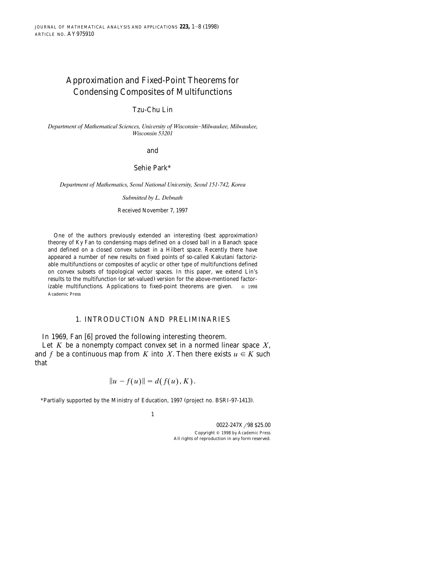# Approximation and Fixed-Point Theorems for Condensing Composites of Multifunctions

## Tzu-Chu Lin

*Department of Mathematical Sciences, University of Wisconsin-Milwaukee, Milwaukee, Wisconsin 53201*

and

## Sehie Park\*

*Department of Mathematics, Seoul National Uni*¨*ersity, Seoul 151-742, Korea*

*Submitted by L. Debnath*

Received November 7, 1997

One of the authors previously extended an interesting (best approximation) theorey of Ky Fan to condensing maps defined on a closed ball in a Banach space and defined on a closed convex subset in a Hilbert space. Recently there have appeared a number of new results on fixed points of so-called Kakutani factorizable multifunctions or composites of acyclic or other type of multifunctions defined on convex subsets of topological vector spaces. In this paper, we extend Lin's results to the multifunction (or set-valued) version for the above-mentioned factorizable multifunctions. Applications to fixed-point theorems are given.  $\circ$  1998 Academic Press

## 1. INTRODUCTION AND PRELIMINARIES

In 1969, Fan  $[6]$  proved the following interesting theorem.

Let *K* be a nonempty compact convex set in a normed linear space *X*, and *f* be a continuous map from *K* into *X*. Then there exists  $u \in K$  such that

$$
||u - f(u)|| = d(f(u), K).
$$

\*Partially supported by the Ministry of Education, 1997 (project no. BSRI-97-1413).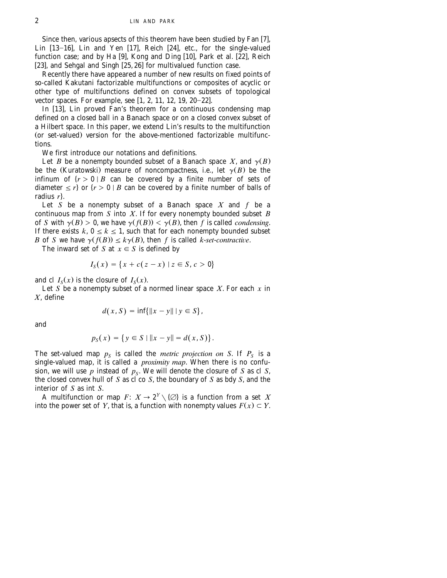Since then, various apsects of this theorem have been studied by Fan [7], Lin  $[13-16]$ , Lin and Yen  $[17]$ , Reich  $[24]$ , etc., for the single-valued function case; and by Ha [9], Kong and Ding  $[10]$ , Park et al.  $[22]$ , Reich [[23](#page-7-0)], and Sehgal and Singh  $[25, 26]$  for multivalued function case.

Recently there have appeared a number of new results on fixed points of so-called Kakutani factorizable multifunctions or composites of acyclic or other type of multifunctions defined on convex subsets of topological vector spaces. For example, see  $[1, 2, 11, 12, 19, 20-22]$ .

In  $[13]$ , Lin proved Fan's theorem for a continuous condensing map defined on a closed ball in a Banach space or on a closed convex subset of a Hilbert space. In this paper, we extend Lin's results to the multifunction (or set-valued) version for the above-mentioned factorizable multifunctions.

We first introduce our notations and definitions.

Let *B* be a nonempty bounded subset of a Banach space *X*, and  $\gamma(B)$ be the (Kuratowski) measure of noncompactness, i.e., let  $\gamma(B)$  be the infinum of  $\{r > 0 \mid B \text{ can be covered by a finite number of sets of }$ diameter  $\leq r$  or  $\{r > 0 \mid B \text{ can be covered by a finite number of balls of }$ radius *r*4.

Let *S* be a nonempty subset of a Banach space *X* and *f* be a continuous map from *S* into *X*. If for every nonempty bounded subset *B* of *S* with  $\gamma(B) > 0$ , we have  $\gamma(f(B)) < \gamma(B)$ , then *f* is called *condensing*. If there exists  $k, 0 \le k \le 1$ , such that for each nonempty bounded subset *B* of *S* we have  $\gamma(f(B)) \leq k\gamma(B)$ , then *f* is called *k*-*set*-*contractive*.

The inward set of *S* at  $x \in S$  is defined by

$$
I_{S}(x) = \{x + c(z - x) \mid z \in S, c > 0\}
$$

and cl  $I_s(x)$  is the closure of  $I_s(x)$ .

Let *S* be a nonempty subset of a normed linear space *X*. For each *x* in *X*, define

$$
d(x, S) = \inf\{||x - y|| | y \in S\},\
$$

and

$$
p_S(x) = \{ y \in S \mid ||x - y|| = d(x, S) \}.
$$

The set-valued map  $p_s$  is called the *metric projection on* S. If  $P_s$  is a single-valued map, it is called a *proximity map*. When there is no confusion, we will use  $p$  instead of  $p_{\mathcal{S}}$ . We will denote the closure of  $S$  as cl  $S$ , the closed convex hull of *S* as cl co *S*, the boundary of *S* as bdy *S*, and the interior of *S* as int *S*.

A multifunction or map  $F: X \to 2^Y \setminus \{\emptyset\}$  is a function from a set *X* into the power set of *Y*, that is, a function with nonempty values  $F(x) \subset Y$ .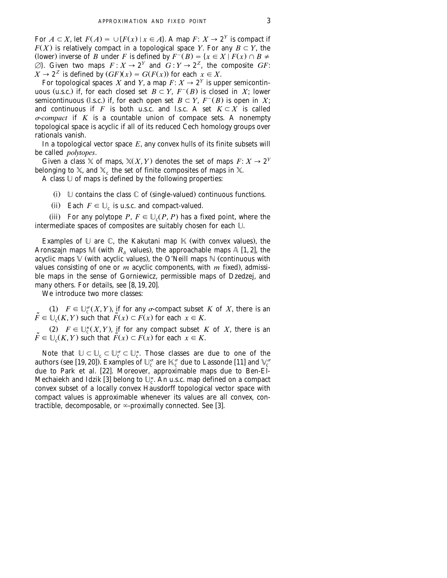For  $A \subset X$ , let  $F(A) = \bigcup \{F(x) \mid x \in A\}$ . A map  $F: X \to 2^Y$  is compact if  $F(X)$  is relatively compact in a topological space *Y*. For any  $B \subset Y$ , the (lower) inverse of *B* under *F* is defined by  $F^{-}(B) = \{x \in X \mid F(x) \cap B \neq \emptyset\}$  $\emptyset$ }. Given two maps  $F : X \to 2^Y$  and  $G : Y \to 2^Z$ , the composite *GF*:  $X \to 2^Z$  is defined by  $(GF)(x) = G(F(x))$  for each  $x \in X$ .

For topological spaces *X* and *Y*, a map  $F: X \to 2^Y$  is upper semicontinuous (u.s.c.) if, for each closed set  $B \subset Y$ ,  $F^{-}(B)$  is closed in *X*; lower semicontinuous (l.s.c.) if, for each open set  $B \subset Y$ ,  $F^{-}(B)$  is open in *X*; and continuous if *F* is both u.s.c. and l.s.c. A set  $K \subset X$  is called <sup>s</sup>-*compact* if *K* is a countable union of compace sets. A nonempty topological space is acyclic if all of its reduced Cech homology groups over rationals vanish.

In a topological vector space *E*, any convex hulls of its finite subsets will be called *polytopes*.

Given a class  $X$  of maps,  $X(X, Y)$  denotes the set of maps  $F: X \to 2^Y$ belonging to  $\mathbb{X},$  and  $\mathbb{X}_{\mathrm{c}}$  the set of finite composites of maps in  $\mathbb{X}.$ 

A class  $\mathbb U$  of maps is defined by the following properties:

- (i)  $\cup$  contains the class  $\mathbb C$  of (single-valued) continuous functions.
- (ii) Each  $F \in \mathbb{U}_c$  is u.s.c. and compact-valued.

(iii) For any polytope *P*,  $F \in \mathbb{U}_c(P, P)$  has a fixed point, where the intermediate spaces of composites are suitably chosen for each U.

Examples of  $\mathbb U$  are  $\mathbb C$ , the Kakutani map  $\mathbb K$  (with convex values), the Aronszajn maps M (with  $R_{\delta}$  values), the approachable maps A [[1, 2](#page-6-0)], the acyclic maps  $\mathbb {V}$  (with acyclic values), the O'Neill maps  $\mathbb {N}$  (continuous with values consisting of one or *m* acyclic components, with *m* fixed), admissible maps in the sense of Gorniewicz, permissible maps of Dzedzej, and many others. For details, see  $[8, 19, 20]$ .

We introduce two more classes:

(1)  $F \in \bigcup_{c}^{\sigma}(X, Y)$ , if for any  $\sigma$ -compact subset *K* of *X*, there is an  $\tilde{F} \in \bigcup_{c}(K, Y)$  such that  $\tilde{F}(x) \subset F(x)$  for each  $x \in K$ .

(2)  $F \in \bigcup_{c}^{k}(X, Y)$ , if for any compact subset *K* of *X*, there is an  $\tilde{F} \in \bigcup_{c}(K, Y)$  such that  $\tilde{F}(x) \subset F(x)$  for each  $x \in K$ .

Note that  $\mathbb{U} \subset \mathbb{U}_c \subset \mathbb{U}_c^{\sigma} \subset \mathbb{U}_c^{\kappa}$ . Those classes are due to one of the authors (see [19, 20]). Examples of  $\mathbb{U}_c^{\sigma}$  are  $\mathbb{K}_c^{\sigma}$  due to Lassonde [11] and  $\mathbb{V}_c^{\sigma}$ due to Park et al. [22]. Moreover, approximable maps due to Ben-El-Mechaiekh and Idzik [3] belong to  $\mathbb{U}_c^{\kappa}$ . An u.s.c. map defined on a compact convex subset of a locally convex Hausdorff topological vector space with compact values is approximable whenever its values are all convex, contractible, decomposable, or  $\infty$ -proximally connected. See [3].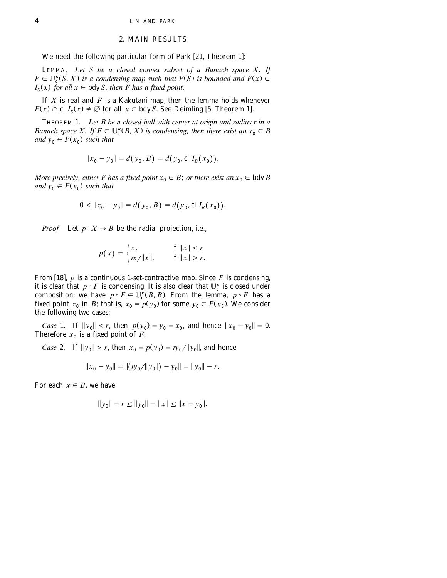#### 2. MAIN RESULTS

## We need the following particular form of Park [21, Theorem 1]:

LEMMA. Let S be a closed convex subset of a Banach space X. If  $F \in \bigcup_{c}^{k}(S, X)$  is a condensing map such that  $F(S)$  is bounded and  $F(x) \subset$  $I_{\rm s}(x)$  *for all*  $x \in b$  *dy S*, *then F has a fixed point.* 

If *X* is real and *F* is a Kakutani map, then the lemma holds whenever  $F(x) \cap$  cl  $I_{S}(x) \neq \emptyset$  for all  $x \in$  bdy *S*. See Deimling [5, Theorem 1].

THEOREM 1. *Let B be a closed ball with center at origin and radius r in a Banach space X. If*  $F \in \bigcup_{c}^{k}(B, X)$  *is condensing, then there exist an*  $x_0 \in B$ *and*  $y_0 \in F(x_0)$  *such that* 

$$
||x_0 - y_0|| = d(y_0, B) = d(y_0, \operatorname{cl} I_B(x_0)).
$$

*More precisely, either F has a fixed point*  $x_0 \in B$ ; *or there exist an*  $x_0 \in b$ dy *B and*  $y_0 \in F(x_0)$  *such that* 

$$
0 < ||x_0 - y_0|| = d(y_0, B) = d(y_0, \operatorname{cl} I_B(x_0)).
$$

*Proof.* Let  $p: X \rightarrow B$  be the radial projection, i.e.,

$$
p(x) = \begin{cases} x, & \text{if } ||x|| \le r \\ rx/||x||, & \text{if } ||x|| > r. \end{cases}
$$

From [18],  $p$  is a continuous 1-set-contractive map. Since  $F$  is condensing, it is clear that  $p \circ F$  is condensing. It is also clear that  $\mathbb{U}_c^{\kappa}$  is closed under composition; we have  $p \circ F \in \mathbb{U}_{c}^{K}(B, B)$ . From the lemma,  $p \circ F$  has a fixed point  $x_0$  in *B*; that is,  $x_0 = p(y_0)$  for some  $y_0 \in F(x_0)$ . We consider the following two cases:

*Case* 1. If  $||y_0|| \le r$ , then  $p(y_0) = y_0 = x_0$ , and hence  $||x_0 - y_0|| = 0$ . Therefore  $x_0$  is a fixed point of *F*.

*Case* 2. If 
$$
||y_0|| \ge r
$$
, then  $x_0 = p(y_0) = ry_0/||y_0||$ , and hence

$$
||x_0 - y_0|| = ||(ry_0/||y_0||) - y_0|| = ||y_0|| - r.
$$

For each  $x \in B$ , we have

$$
||y_0|| - r \le ||y_0|| - ||x|| \le ||x - y_0||.
$$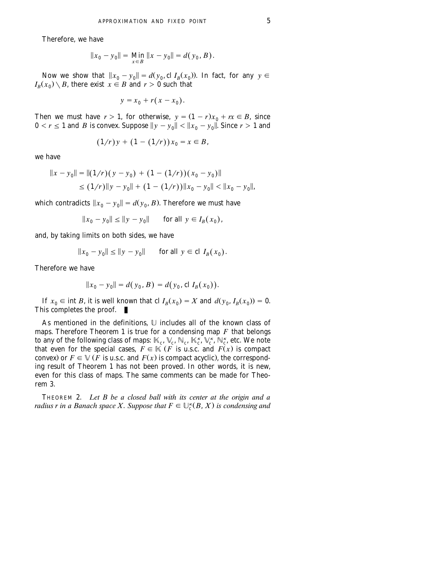Therefore, we have

$$
||x_0 - y_0|| = \lim_{x \in B} ||x - y_0|| = d(y_0, B).
$$

Now we show that  $||x_0 - y_0|| = d(y_0, \text{cl } I_B(x_0))$ . In fact, for any  $y \in I_B$  $I_R(x_0) \setminus B$ , there exist  $x \in B$  and  $r > 0$  such that

$$
y = x_0 + r(x - x_0).
$$

Then we must have  $r > 1$ , for otherwise,  $y = (1 - r)x_0 + rx \in B$ , since  $0 < r \leq 1$  and *B* is convex. Suppose  $||y - y_0|| < ||x_0 - y_0||$ . Since  $r > 1$  and

$$
(1/r)y + (1 - (1/r))x_0 = x \in B,
$$

we have

$$
||x - y_0|| = ||(1/r)(y - y_0) + (1 - (1/r))(x_0 - y_0)||
$$
  
\n
$$
\leq (1/r)||y - y_0|| + (1 - (1/r))||x_0 - y_0|| < ||x_0 - y_0||,
$$

which contradicts  $||x_0 - y_0|| = d(y_0, B)$ . Therefore we must have

$$
||x_0 - y_0|| \le ||y - y_0||
$$
 for all  $y \in I_B(x_0)$ ,

and, by taking limits on both sides, we have

$$
||x_0 - y_0|| \le ||y - y_0||
$$
 for all  $y \in cl I_B(x_0)$ .

Therefore we have

$$
||x_0 - y_0|| = d(y_0, B) = d(y_0, \operatorname{cl} I_B(x_0)).
$$

If  $x_0 \in \text{int } B$ , it is well known that cl  $I_B(x_0) = X$  and  $d(y_0, I_B(x_0)) = 0$ . This completes the proof.  $\blacksquare$ 

As mentioned in the definitions, U includes all of the known class of maps. Therefore Theorem 1 is true for a condensing map  $F$  that belongs to any of the following class of maps:  $\mathbb{K}_{c}$ ,  $\mathbb{V}_{c}$ ,  $\mathbb{N}_{c}$ ,  $\mathbb{K}_{c}^{k}$ ,  $\mathbb{V}_{c}^{k}$ ,  $\mathbb{N}_{c}^{k}$ , etc. We note that even for the special cases,  $\overline{F} \in \mathbb{K}$  (*F* is u.s.c. and  $\overline{F}(x)$  is compact convex) or  $F \in V$  *F* is u.s.c. and  $F(x)$  is compact acyclic), the corresponding result of Theorem 1 has not been proved. In other words, it is new, even for this class of maps. The same comments can be made for Theorem 3.

THEOREM 2. *Let B be a closed ball with its center at the origin and a radius r in a Banach space X. Suppose that*  $F \in \bigcup_{c}^{k}(B, X)$  *is condensing and*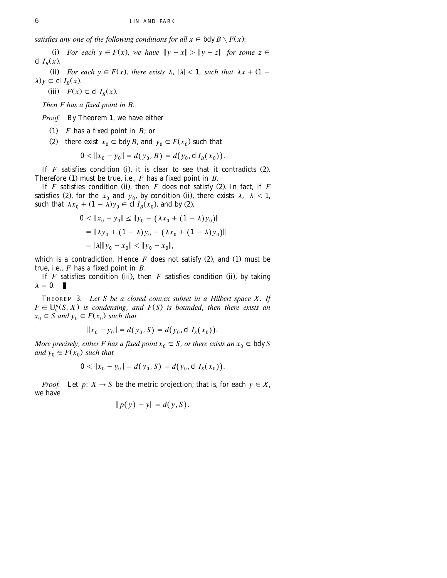*satisfies any one of the following conditions for all*  $x \in bdv$  *B*  $\setminus$  *F(x)*:

(i) For each  $y \in F(x)$ , we have  $||y - x|| > ||y - z||$  for some  $z \in$ cl  $I_R(x)$ .

(ii) *For each*  $y \in F(x)$ *, there exists*  $\lambda$ ,  $|\lambda|$  < 1, *such that*  $\lambda x + (1 \lambda$ )  $y \in$  cl  $I_R(x)$ .

(iii)  $F(x) \subset \text{cl } I_B(x)$ .

*Then F has a fixed point in B*.

*Proof.* By Theorem 1, we have either

- $(1)$  *F* has a fixed point in *B*; or
- (2) there exist  $x_0 \in b \, dy \, B$ , and  $y_0 \in F(x_0)$  such that

$$
0 < ||x_0 - y_0|| = d(y_0, B) = d(y_0, \mathrm{cl} I_B(x_0)).
$$

If  $F$  satisfies condition (i), it is clear to see that it contradicts  $(2)$ . Therefore (1) must be true, i.e.,  $F$  has a fixed point in  $B$ .

If  $F$  satisfies condition (ii), then  $F$  does not satisfy (2). In fact, if  $F$ satisfies (2), for the  $x_0$  and  $y_0$ , by condition (ii), there exists  $\lambda$ ,  $|\lambda|$  < 1, such that  $\lambda x_0 + (1 - \lambda) y_0 \in \text{cl } I_B(x_0)$ , and by (2),

$$
0 < \|x_0 - y_0\| \le \|y_0 - (\lambda x_0 + (1 - \lambda)y_0)\|
$$
\n
$$
= \|\lambda y_0 + (1 - \lambda)y_0 - (\lambda x_0 + (1 - \lambda)y_0)\|
$$
\n
$$
= |\lambda| \|y_0 - x_0\| < \|y_0 - x_0\|,
$$

which is a contradiction. Hence  $F$  does not satisfy (2), and (1) must be true, i.e., *F* has a fixed point in *B*.

If  $F$  satisfies condition (iii), then  $F$  satisfies condition (ii), by taking  $\lambda = 0$ .

THEOREM 3. Let S be a closed convex subset in a Hilbert space X. If  $F \in \bigcup_{c}^{k}(S, X)$  is condensing, and  $F(S)$  is bounded, then there exists an  $x_0 \in S$  *and*  $y_0 \in F(x_0)$  *such that* 

$$
||x_0 - y_0|| = d(y_0, S) = d(y_0, \operatorname{cl} I_S(x_0)).
$$

*More precisely, either F has a fixed point*  $x_0 \in S$ *, or there exists an*  $x_0 \in b$ dy *S and*  $y_0 \in F(x_0)$  *such that* 

$$
0 < ||x_0 - y_0|| = d(y_0, S) = d(y_0, \operatorname{cl} I_S(x_0)).
$$

*Proof.* Let  $p: X \to S$  be the metric projection; that is, for each  $y \in X$ , we have

$$
||p(y) - y|| = d(y, S).
$$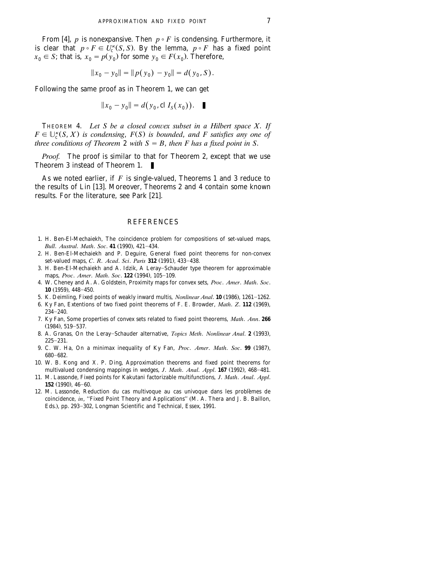<span id="page-6-0"></span>From [4], *p* is nonexpansive. Then  $p \circ F$  is condensing. Furthermore, it is clear that  $p \circ F \in U_c^{\kappa}(S, S)$ . By the lemma,  $p \circ F$  has a fixed point  $x_0 \in S$ ; that is,  $x_0 = p(y_0)$  for some  $y_0 \in F(x_0)$ . Therefore,

$$
||x_0 - y_0|| = ||p(y_0) - y_0|| = d(y_0, S).
$$

Following the same proof as in Theorem 1, we can get

$$
||x_0 - y_0|| = d(y_0, \operatorname{cl} I_S(x_0)). \quad \blacksquare
$$

THEOREM 4. Let S be a closed convex subset in a Hilbert space  $X$ . If  $F \in \bigcup_{c}^{k}(S, X)$  is condensing,  $F(S)$  is bounded, and F satisfies any one of *three conditions of Theorem* 2 *with*  $S = B$ , *then F* has a fixed point in S.

*Proof.* The proof is similar to that for Theorem 2, except that we use Theorem 3 instead of Theorem 1. п

As we noted earlier, if *F* is single-valued, Theorems 1 and 3 reduce to the results of Lin  $[13]$ . Moreover, Theorems 2 and 4 contain some known results. For the literature, see Park [21].

## **REFERENCES**

- 1. H. Ben-El-Mechaiekh, The coincidence problem for compositions of set-valued maps, *Bull. Austral. Math. Soc.* 41 (1990), 421-434.
- 2. H. Ben-El-Mechaiekh and P. Deguire, General fixed point theorems for non-convex set-valued maps, *C. R. Acad. Sci. Paris* 312 (1991), 433-438.
- 3. H. Ben-El-Mechaiekh and A. Idzik, A Leray-Schauder type theorem for approximable maps, *Proc. Amer. Math. Soc.* **122** (1994), 105-109.
- 4. W. Cheney and A. A. Goldstein, Proximity maps for convex sets, *Proc*. *Amer*. *Math*. *Soc*. **10** (1959), 448-450.
- 5. K. Deimling, Fixed points of weakly inward multis, *Nonlinear Anal*. **10** (1986), 1261-1262.
- 6. Ky Fan, Extentions of two fixed point theorems of F. E. Browder, *Math. Z.* 112 (1969),  $234 - 240.$
- 7. Ky Fan, Some properties of convex sets related to fixed point theorems, *Math*. *Ann*. **266**  $(1984)$ , 519-537.
- 8. A. Granas, On the Leray-Schauder alternative, *Topics Meth. Nonlinear Anal.* **2** (1993),  $225 - 231.$
- 9. C. W. Ha, On a minimax inequality of Ky Fan, Proc. Amer. Math. Soc. 99 (1987), 680-682.
- 10. W. B. Kong and X. P. Ding, Approximation theorems and fixed point theorems for multivalued condensing mappings in wedges, *J. Math. Anal. Appl.* 167 (1992), 468-481.
- 11. M. Lassonde, Fixed points for Kakutani factorizable multifunctions, *J*. *Math*. *Anal*. *Appl*. **152** (1990), 46-60.
- 12. M. Lassonde, Reduction du cas multivoque au cas univoque dans les problemes de ` coincidence, *in*, "Fixed Point Theory and Applications" (M. A. Thera and J. B. Baillon, Eds.), pp. 293-302, Longman Scientific and Technical, Essex, 1991.